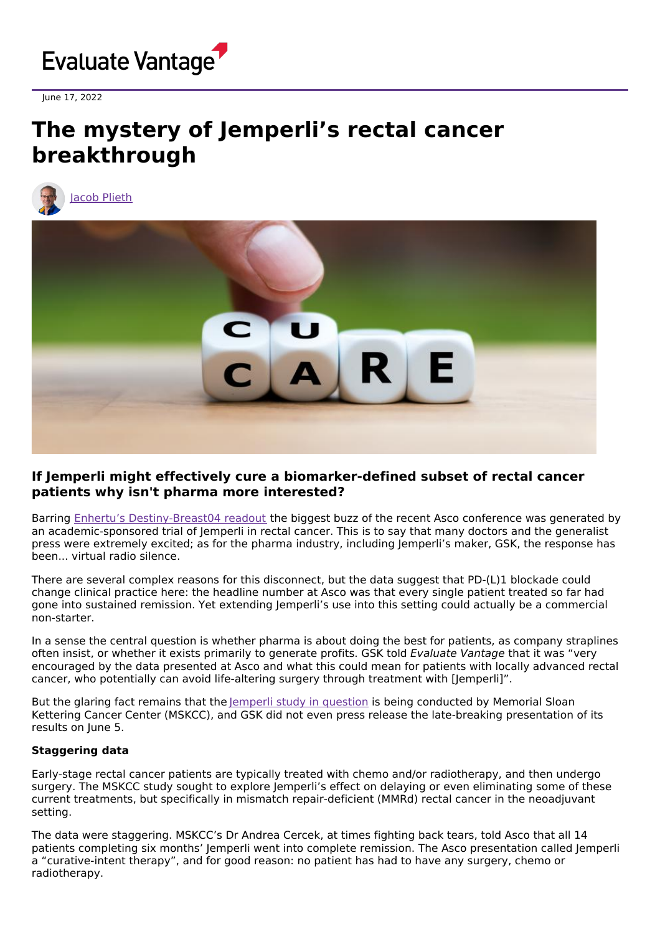

June 17, 2022

# **The mystery of Jemperli's rectal cancer breakthrough**





## **If Jemperli might effectively cure a biomarker-defined subset of rectal cancer patients why isn't pharma more interested?**

Barring Enhertu's [Destiny-Breast04](https://www.evaluate.com/vantage/articles/events/conferences/asco-2022-enhertu-asks-how-low-can-you-go) readout the biggest buzz of the recent Asco conference was generated by an academic-sponsored trial of Jemperli in rectal cancer. This is to say that many doctors and the generalist press were extremely excited; as for the pharma industry, including Jemperli's maker, GSK, the response has been... virtual radio silence.

There are several complex reasons for this disconnect, but the data suggest that PD-(L)1 blockade could change clinical practice here: the headline number at Asco was that every single patient treated so far had gone into sustained remission. Yet extending Jemperli's use into this setting could actually be a commercial non-starter.

In a sense the central question is whether pharma is about doing the best for patients, as company straplines often insist, or whether it exists primarily to generate profits. GSK told Evaluate Vantage that it was "very encouraged by the data presented at Asco and what this could mean for patients with locally advanced rectal cancer, who potentially can avoid life-altering surgery through treatment with [Jemperli]".

But the glaring fact remains that the lemperli study in [question](https://clinicaltrials.gov/ct2/show/NCT04165772) is being conducted by Memorial Sloan Kettering Cancer Center (MSKCC), and GSK did not even press release the late-breaking presentation of its results on June 5.

### **Staggering data**

Early-stage rectal cancer patients are typically treated with chemo and/or radiotherapy, and then undergo surgery. The MSKCC study sought to explore Jemperli's effect on delaying or even eliminating some of these current treatments, but specifically in mismatch repair-deficient (MMRd) rectal cancer in the neoadjuvant setting.

The data were staggering. MSKCC's Dr Andrea Cercek, at times fighting back tears, told Asco that all 14 patients completing six months' Jemperli went into complete remission. The Asco presentation called Jemperli a "curative-intent therapy", and for good reason: no patient has had to have any surgery, chemo or radiotherapy.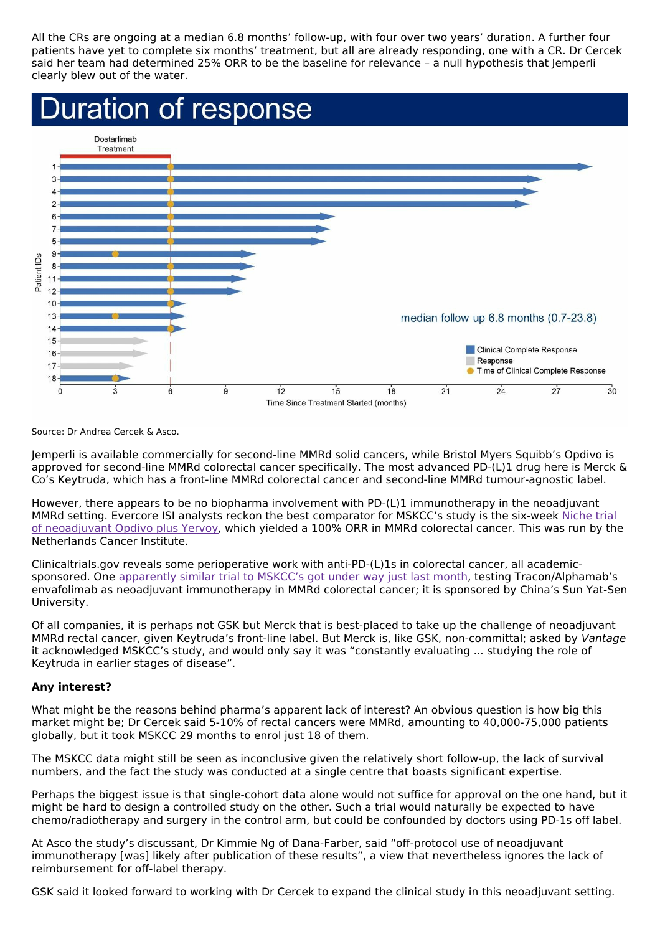All the CRs are ongoing at a median 6.8 months' follow-up, with four over two years' duration. A further four patients have yet to complete six months' treatment, but all are already responding, one with a CR. Dr Cercek said her team had determined 25% ORR to be the baseline for relevance – a null hypothesis that Jemperli clearly blew out of the water.



Source: Dr Andrea Cercek & Asco.

Jemperli is available commercially for second-line MMRd solid cancers, while Bristol Myers Squibb's Opdivo is approved for second-line MMRd colorectal cancer specifically. The most advanced PD-(L)1 drug here is Merck & Co's Keytruda, which has a front-line MMRd colorectal cancer and second-line MMRd tumour-agnostic label.

However, there appears to be no biopharma involvement with PD-(L)1 immunotherapy in the neoadjuvant MMRd setting. Evercore ISI analysts reckon the best comparator for MSKCC's study is the six-week Niche trial of [neoadjuvant](https://clinicaltrials.gov/ct2/show/NCT03026140) Opdivo plus Yervoy, which yielded a 100% ORR in MMRd colorectal cancer. This was run by the Netherlands Cancer Institute.

Clinicaltrials.gov reveals some perioperative work with anti-PD-(L)1s in colorectal cancer, all academicsponsored. One [apparently](https://clinicaltrials.gov/ct2/show/NCT05371197) similar trial to MSKCC's got under way just last month, testing Tracon/Alphamab's envafolimab as neoadjuvant immunotherapy in MMRd colorectal cancer; it is sponsored by China's Sun Yat-Sen University.

Of all companies, it is perhaps not GSK but Merck that is best-placed to take up the challenge of neoadjuvant MMRd rectal cancer, given Keytruda's front-line label. But Merck is, like GSK, non-committal; asked by Vantage it acknowledged MSKCC's study, and would only say it was "constantly evaluating ... studying the role of Keytruda in earlier stages of disease".

### **Any interest?**

What might be the reasons behind pharma's apparent lack of interest? An obvious question is how big this market might be; Dr Cercek said 5-10% of rectal cancers were MMRd, amounting to 40,000-75,000 patients globally, but it took MSKCC 29 months to enrol just 18 of them.

The MSKCC data might still be seen as inconclusive given the relatively short follow-up, the lack of survival numbers, and the fact the study was conducted at a single centre that boasts significant expertise.

Perhaps the biggest issue is that single-cohort data alone would not suffice for approval on the one hand, but it might be hard to design a controlled study on the other. Such a trial would naturally be expected to have chemo/radiotherapy and surgery in the control arm, but could be confounded by doctors using PD-1s off label.

At Asco the study's discussant, Dr Kimmie Ng of Dana-Farber, said "off-protocol use of neoadjuvant immunotherapy [was] likely after publication of these results", a view that nevertheless ignores the lack of reimbursement for off-label therapy.

GSK said it looked forward to working with Dr Cercek to expand the clinical study in this neoadjuvant setting.